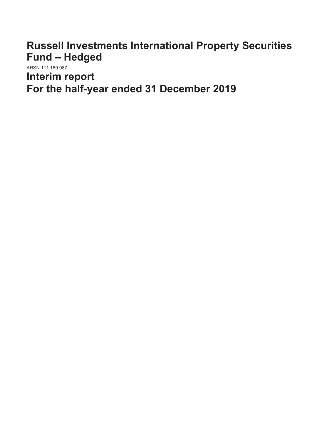**Russell Investments International Property Securities Fund – Hedged**

ARSN 111 169 987 **Interim report For the half-year ended 31 December 2019**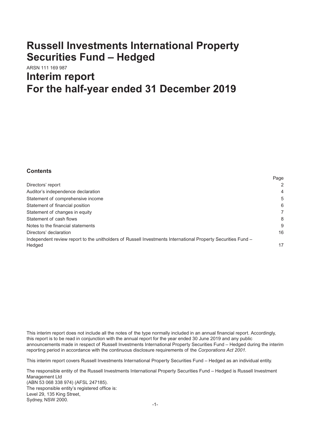# **Russell Investments International Property Securities Fund – Hedged**

# ARSN 111 169 987 **Interim report For the half-year ended 31 December 2019**

### **Contents**

|                                                                                                              | ı ay <del>c</del> |
|--------------------------------------------------------------------------------------------------------------|-------------------|
| Directors' report                                                                                            | 2                 |
| Auditor's independence declaration                                                                           | $\overline{4}$    |
| Statement of comprehensive income                                                                            | 5                 |
| Statement of financial position                                                                              | 6                 |
| Statement of changes in equity                                                                               | 7                 |
| Statement of cash flows                                                                                      | 8                 |
| Notes to the financial statements                                                                            | 9                 |
| Directors' declaration                                                                                       | 16                |
| Independent review report to the unitholders of Russell Investments International Property Securities Fund - |                   |
| Hedged                                                                                                       | 17                |

Page

This interim report does not include all the notes of the type normally included in an annual financial report. Accordingly, this report is to be read in conjunction with the annual report for the year ended 30 June 2019 and any public announcements made in respect of Russell Investments International Property Securities Fund – Hedged during the interim reporting period in accordance with the continuous disclosure requirements of the *Corporations Act 2001.*

This interim report covers Russell Investments International Property Securities Fund – Hedged as an individual entity.

The responsible entity of the Russell Investments International Property Securities Fund – Hedged is Russell Investment Management Ltd (ABN 53 068 338 974) (AFSL 247185). The responsible entity's registered office is: Level 29, 135 King Street, Sydney, NSW 2000.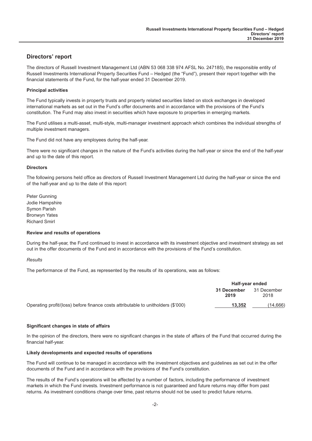### <span id="page-2-0"></span>**Directors' report**

The directors of Russell Investment Management Ltd (ABN 53 068 338 974 AFSL No. 247185), the responsible entity of Russell Investments International Property Securities Fund – Hedged (the "Fund"), present their report together with the financial statements of the Fund, for the half-year ended 31 December 2019.

#### **Principal activities**

The Fund typically invests in property trusts and property related securities listed on stock exchanges in developed international markets as set out in the Fund's offer documents and in accordance with the provisions of the Fund's constitution. The Fund may also invest in securities which have exposure to properties in emerging markets.

The Fund utilises a multi-asset, multi-style, multi-manager investment approach which combines the individual strengths of multiple investment managers.

The Fund did not have any employees during the half-year.

There were no significant changes in the nature of the Fund's activities during the half-year or since the end of the half-year and up to the date of this report.

#### **Directors**

The following persons held office as directors of Russell Investment Management Ltd during the half-year or since the end of the half-year and up to the date of this report:

Peter Gunning Jodie Hampshire Symon Parish Bronwyn Yates Richard Smirl

#### **Review and results of operations**

During the half-year, the Fund continued to invest in accordance with its investment objective and investment strategy as set out in the offer documents of the Fund and in accordance with the provisions of the Fund's constitution.

#### *Results*

The performance of the Fund, as represented by the results of its operations, was as follows:

|                                                                                   | Half-year ended     |                     |
|-----------------------------------------------------------------------------------|---------------------|---------------------|
|                                                                                   | 31 December<br>2019 | 31 December<br>2018 |
| Operating profit/(loss) before finance costs attributable to unitholders (\$'000) | 13.352              | (14,666)            |

#### **Significant changes in state of affairs**

In the opinion of the directors, there were no significant changes in the state of affairs of the Fund that occurred during the financial half-year.

#### **Likely developments and expected results of operations**

The Fund will continue to be managed in accordance with the investment objectives and guidelines as set out in the offer documents of the Fund and in accordance with the provisions of the Fund's constitution.

The results of the Fund's operations will be affected by a number of factors, including the performance of investment markets in which the Fund invests. Investment performance is not guaranteed and future returns may differ from past returns. As investment conditions change over time, past returns should not be used to predict future returns.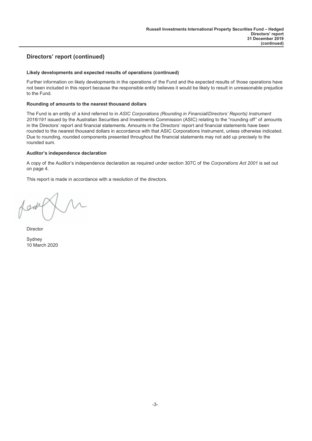# **Directors' report (continued)**

#### **Likely developments and expected results of operations (continued)**

Further information on likely developments in the operations of the Fund and the expected results of those operations have not been included in this report because the responsible entity believes it would be likely to result in unreasonable prejudice to the Fund.

#### **Rounding of amounts to the nearest thousand dollars**

The Fund is an entity of a kind referred to in *ASIC Corporations (Rounding in Financial/Directors' Reports) Instrument 2016/191* issued by the Australian Securities and Investments Commission (ASIC) relating to the "rounding off" of amounts in the Directors' report and financial statements. Amounts in the Directors' report and financial statements have been rounded to the nearest thousand dollars in accordance with that ASIC Corporations Instrument, unless otherwise indicated. Due to rounding, rounded components presented throughout the financial statements may not add up precisely to the rounded sum.

#### **Auditor's independence declaration**

A copy of the Auditor's independence declaration as required under section 307C of the *Corporations Act 2001* is set out on page 4.

This report is made in accordance with a resolution of the directors.

gol

**Director** 

Sydney 10 March 2020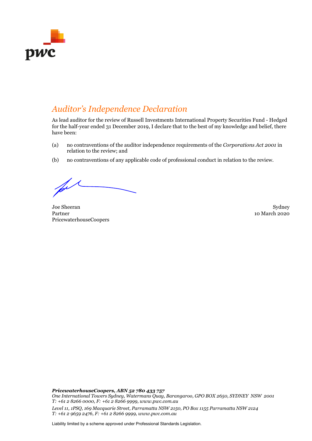

# *Auditor's Independence Declaration*

As lead auditor for the review of Russell Investments International Property Securities Fund - Hedged for the half-year ended 31 December 2019, I declare that to the best of my knowledge and belief, there have been:

- (a) no contraventions of the auditor independence requirements of the *Corporations Act 2001* in relation to the review; and
- (b) no contraventions of any applicable code of professional conduct in relation to the review.

Joe Sheeran Sydney Sydney Sydney Sydney Sydney Sydney Sydney Sydney Sydney Sydney Sydney Sydney Sydney Sydney Sydney Sydney Sydney Sydney Sydney Sydney Sydney Sydney Sydney Sydney Sydney Sydney Sydney Sydney Sydney Sydney Partner PricewaterhouseCoopers

10 March 2020

*PricewaterhouseCoopers, ABN 52 780 433 757 One International Towers Sydney, Watermans Quay, Barangaroo, GPO BOX 2650, SYDNEY NSW 2001 T: +61 2 8266 0000, F: +61 2 8266 9999, www.pwc.com.au Level 11, 1PSQ, 169 Macquarie Street, Parramatta NSW 2150, PO Box 1155 Parramatta NSW 2124 T: +61 2 9659 2476, F: +61 2 8266 9999, www.pwc.com.au*

Liability limited by a scheme approved under Professional Standards Legislation.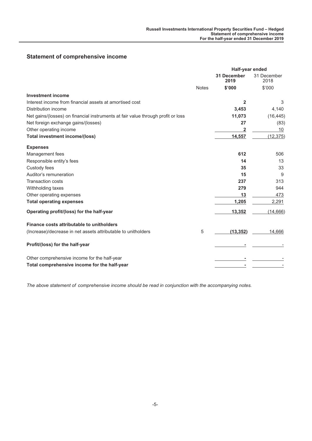# <span id="page-5-0"></span>**Statement of comprehensive income**

|                                                                                  |              | Half-year ended            |                     |  |
|----------------------------------------------------------------------------------|--------------|----------------------------|---------------------|--|
|                                                                                  |              | <b>31 December</b><br>2019 | 31 December<br>2018 |  |
|                                                                                  | <b>Notes</b> | \$'000                     | \$'000              |  |
| <b>Investment income</b>                                                         |              |                            |                     |  |
| Interest income from financial assets at amortised cost                          |              | $\mathbf{2}$               | 3                   |  |
| Distribution income                                                              |              | 3,453                      | 4,140               |  |
| Net gains/(losses) on financial instruments at fair value through profit or loss |              | 11,073                     | (16, 445)           |  |
| Net foreign exchange gains/(losses)                                              |              | 27                         | (83)                |  |
| Other operating income                                                           |              | 2                          | 10                  |  |
| <b>Total investment income/(loss)</b>                                            |              | 14,557                     | (12, 375)           |  |
| <b>Expenses</b>                                                                  |              |                            |                     |  |
| Management fees                                                                  |              | 612                        | 506                 |  |
| Responsible entity's fees                                                        |              | 14                         | 13                  |  |
| Custody fees                                                                     |              | 35                         | 33                  |  |
| Auditor's remuneration                                                           |              | 15                         | 9                   |  |
| <b>Transaction costs</b>                                                         |              | 237                        | 313                 |  |
| Withholding taxes                                                                |              | 279                        | 944                 |  |
| Other operating expenses                                                         |              | 13                         | 473                 |  |
| <b>Total operating expenses</b>                                                  |              | 1,205                      | 2,291               |  |
| Operating profit/(loss) for the half-year                                        |              | 13,352                     | (14, 666)           |  |
| Finance costs attributable to unitholders                                        |              |                            |                     |  |
| (Increase)/decrease in net assets attributable to unitholders                    | 5            | (13, 352)                  | 14,666              |  |
| Profit/(loss) for the half-year                                                  |              |                            |                     |  |
| Other comprehensive income for the half-year                                     |              |                            |                     |  |
| Total comprehensive income for the half-year                                     |              |                            |                     |  |

*The above statement of comprehensive income should be read in conjunction with the accompanying notes.*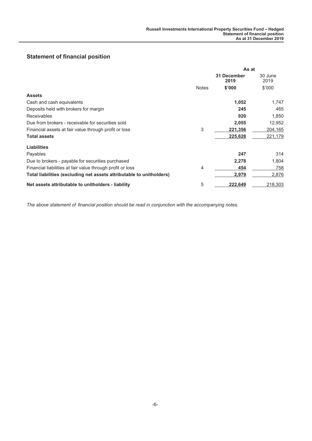# <span id="page-6-0"></span>**Statement of financial position**

|                                                                      | As at        |                     |                 |
|----------------------------------------------------------------------|--------------|---------------------|-----------------|
|                                                                      |              | 31 December<br>2019 | 30 June<br>2019 |
|                                                                      | <b>Notes</b> | \$'000              | \$'000          |
| <b>Assets</b>                                                        |              |                     |                 |
| Cash and cash equivalents                                            |              | 1,052               | 1.747           |
| Deposits held with brokers for margin                                |              | 245                 | 465             |
| <b>Receivables</b>                                                   |              | 920                 | 1,850           |
| Due from brokers - receivable for securities sold                    |              | 2,055               | 12,952          |
| Financial assets at fair value through profit or loss                | 3            | 221,356             | 204,165         |
| <b>Total assets</b>                                                  |              | 225,628             | 221,179         |
| <b>Liabilities</b>                                                   |              |                     |                 |
| Payables                                                             |              | 247                 | 314             |
| Due to brokers - payable for securities purchased                    |              | 2,278               | 1,804           |
| Financial liabilities at fair value through profit or loss           | 4            | 454                 | 758             |
| Total liabilities (excluding net assets attributable to unitholders) |              | 2,979               | 2,876           |
| Net assets attributable to unitholders - liability                   | 5            | 222,649             | 218,303         |

*The above statement of financial position should be read in conjunction with the accompanying notes.*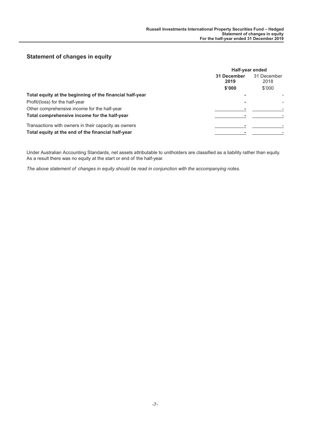# <span id="page-7-0"></span>**Statement of changes in equity**

|                                                          | Half-year ended     |                     |  |
|----------------------------------------------------------|---------------------|---------------------|--|
|                                                          | 31 December<br>2019 | 31 December<br>2018 |  |
|                                                          | \$'000              | \$'000              |  |
| Total equity at the beginning of the financial half-year |                     |                     |  |
| Profit/(loss) for the half-year                          |                     |                     |  |
| Other comprehensive income for the half-year             |                     |                     |  |
| Total comprehensive income for the half-year             |                     |                     |  |
| Transactions with owners in their capacity as owners     |                     |                     |  |
| Total equity at the end of the financial half-year       |                     |                     |  |

Under Australian Accounting Standards, net assets attributable to unitholders are classified as a liability rather than equity. As a result there was no equity at the start or end of the half-year.

*The above statement of changes in equity should be read in conjunction with the accompanying notes.*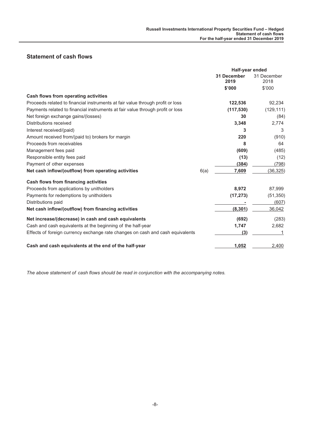# <span id="page-8-0"></span>**Statement of cash flows**

|                                                                                | Half-year ended     |                     |
|--------------------------------------------------------------------------------|---------------------|---------------------|
|                                                                                | 31 December<br>2019 | 31 December<br>2018 |
|                                                                                | \$'000              | \$'000              |
| <b>Cash flows from operating activities</b>                                    |                     |                     |
| Proceeds related to financial instruments at fair value through profit or loss | 122,536             | 92,234              |
| Payments related to financial instruments at fair value through profit or loss | (117, 530)          | (129, 111)          |
| Net foreign exchange gains/(losses)                                            | 30                  | (84)                |
| Distributions received                                                         | 3,348               | 2,774               |
| Interest received/(paid)                                                       | 3                   | 3                   |
| Amount received from/(paid to) brokers for margin                              | 220                 | (910)               |
| Proceeds from receivables                                                      | 8                   | 64                  |
| Management fees paid                                                           | (609)               | (485)               |
| Responsible entity fees paid                                                   | (13)                | (12)                |
| Payment of other expenses                                                      | (384)               | (798)               |
| Net cash inflow/(outflow) from operating activities<br>6(a)                    | 7,609               | (36, 325)           |
| <b>Cash flows from financing activities</b>                                    |                     |                     |
| Proceeds from applications by unitholders                                      | 8,972               | 87,999              |
| Payments for redemptions by unitholders                                        | (17, 273)           | (51, 350)           |
| Distributions paid                                                             |                     | (607)               |
| Net cash inflow/(outflow) from financing activities                            | (8, 301)            | 36,042              |
| Net increase/(decrease) in cash and cash equivalents                           | (692)               | (283)               |
| Cash and cash equivalents at the beginning of the half-year                    | 1,747               | 2,682               |
| Effects of foreign currency exchange rate changes on cash and cash equivalents | (3)                 |                     |
| Cash and cash equivalents at the end of the half-year                          | 1,052               | 2,400               |

*The above statement of cash flows should be read in conjunction with the accompanying notes.*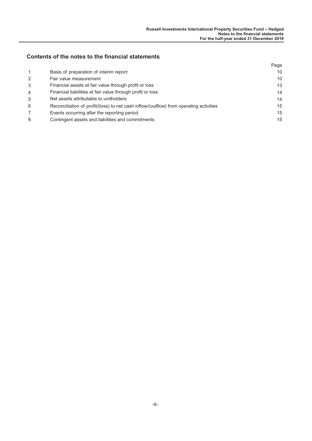# **Contents of the notes to the financial statements**

|                |                                                                                        | Page |
|----------------|----------------------------------------------------------------------------------------|------|
| $\mathbf 1$    | Basis of preparation of interim report                                                 | 10   |
| 2              | Fair value measurement                                                                 | 10   |
| 3              | Financial assets at fair value through profit or loss                                  | 13   |
| $\overline{4}$ | Financial liabilities at fair value through profit or loss                             | 14   |
| 5              | Net assets attributable to unitholders                                                 | 14   |
| 6              | Reconciliation of profit/(loss) to net cash inflow/(outflow) from operating activities | 15   |
|                | Events occurring after the reporting period                                            | 15   |
| 8              | Contingent assets and liabilities and commitments                                      | 15   |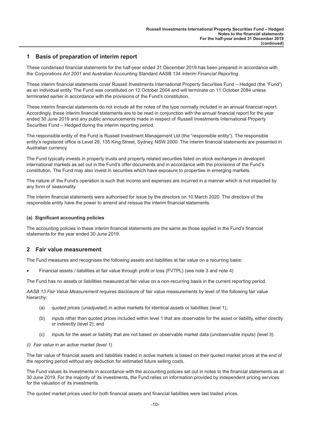### <span id="page-10-0"></span>**1 Basis of preparation of interim report**

These condensed financial statements for the half-year ended 31 December 2019 has been prepared in accordance with the *Corporations Act 2001* and Australian Accounting Standard AASB 134 *Interim Financial Reporting*.

These interim financial statements cover Russell Investments International Property Securities Fund – Hedged (the "Fund") as an individual entity. The Fund was constituted on 12 October 2004 and will terminate on 11 October 2084 unless terminated earlier in accordance with the provisions of the Fund's constitution.

These interim financial statements do not include all the notes of the type normally included in an annual financial report. Accordingly, these interim financial statements are to be read in conjunction with the annual financial report for the year ended 30 June 2019 and any public announcements made in respect of Russell Investments International Property Securities Fund – Hedged during the interim reporting period.

The responsible entity of the Fund is Russell Investment Management Ltd (the "responsible entity"). The responsible entity's registered office is Level 29, 135 King Street, Sydney, NSW 2000. The interim financial statements are presented in Australian currency.

The Fund typically invests in property trusts and property related securities listed on stock exchanges in developed international markets as set out in the Fund's offer documents and in accordance with the provisions of the Fund's constitution. The Fund may also invest in securities which have exposure to properties in emerging markets.

The nature of the Fund's operation is such that income and expenses are incurred in a manner which is not impacted by any form of seasonality.

The interim financial statements were authorised for issue by the directors on 10 March 2020. The directors of the responsible entity have the power to amend and reissue the interim financial statements.

#### **(a) Significant accounting policies**

The accounting policies in these interim financial statements are the same as those applied in the Fund's financial statements for the year ended 30 June 2019.

### **2 Fair value measurement**

The Fund measures and recognises the following assets and liabilities at fair value on a recurring basis:

• Financial assets / liabilities at fair value through profit or loss (FVTPL) (see note 3 and note 4)

The Fund has no assets or liabilities measured at fair value on a non-recurring basis in the current reporting period.

*AASB 13 Fair Value Measurement* requires disclosure of fair value measurements by level of the following fair value hierarchy:

- (a) quoted prices (unadjusted) in active markets for identical assets or liabilities (level 1);
- (b) inputs other than quoted prices included within level 1 that are observable for the asset or liability, either directly or indirectly (level 2); and
- (c) inputs for the asset or liability that are not based on observable market data (unobservable inputs) (level 3).

#### *(i) Fair value in an active market (level 1)*

The fair value of financial assets and liabilities traded in active markets is based on their quoted market prices at the end of the reporting period without any deduction for estimated future selling costs.

The Fund values its investments in accordance with the accounting policies set out in notes to the financial statements as at 30 June 2019. For the majority of its investments, the Fund relies on information provided by independent pricing services for the valuation of its investments.

The quoted market prices used for both financial assets and financial liabilities were last traded prices.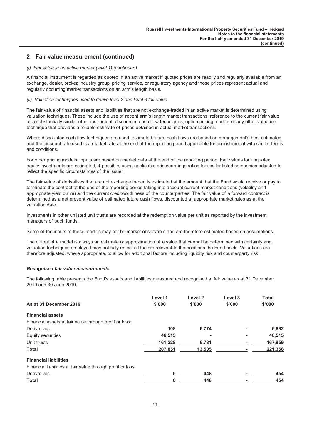## **2 Fair value measurement (continued)**

#### *(i) Fair value in an active market (level 1) (continued)*

A financial instrument is regarded as quoted in an active market if quoted prices are readily and regularly available from an exchange, dealer, broker, industry group, pricing service, or regulatory agency and those prices represent actual and regularly occurring market transactions on an arm's length basis.

#### *(ii) Valuation techniques used to derive level 2 and level 3 fair value*

The fair value of financial assets and liabilities that are not exchange-traded in an active market is determined using valuation techniques. These include the use of recent arm's length market transactions, reference to the current fair value of a substantially similar other instrument, discounted cash flow techniques, option pricing models or any other valuation technique that provides a reliable estimate of prices obtained in actual market transactions.

Where discounted cash flow techniques are used, estimated future cash flows are based on management's best estimates and the discount rate used is a market rate at the end of the reporting period applicable for an instrument with similar terms and conditions.

For other pricing models, inputs are based on market data at the end of the reporting period. Fair values for unquoted equity investments are estimated, if possible, using applicable price/earnings ratios for similar listed companies adjusted to reflect the specific circumstances of the issuer.

The fair value of derivatives that are not exchange traded is estimated at the amount that the Fund would receive or pay to terminate the contract at the end of the reporting period taking into account current market conditions (volatility and appropriate yield curve) and the current creditworthiness of the counterparties. The fair value of a forward contract is determined as a net present value of estimated future cash flows, discounted at appropriate market rates as at the valuation date.

Investments in other unlisted unit trusts are recorded at the redemption value per unit as reported by the investment managers of such funds.

Some of the inputs to these models may not be market observable and are therefore estimated based on assumptions.

The output of a model is always an estimate or approximation of a value that cannot be determined with certainty and valuation techniques employed may not fully reflect all factors relevant to the positions the Fund holds. Valuations are therefore adjusted, where appropriate, to allow for additional factors including liquidity risk and counterparty risk.

#### *Recognised fair value measurements*

The following table presents the Fund's assets and liabilities measured and recognised at fair value as at 31 December 2019 and 30 June 2019.

| As at 31 December 2019                                                                      | Level 1<br>\$'000 | Level 2<br>\$'000 | Level 3<br>\$'000 | <b>Total</b><br>\$'000 |
|---------------------------------------------------------------------------------------------|-------------------|-------------------|-------------------|------------------------|
| <b>Financial assets</b>                                                                     |                   |                   |                   |                        |
| Financial assets at fair value through profit or loss:                                      |                   |                   |                   |                        |
| Derivatives                                                                                 | 108               | 6,774             |                   | 6,882                  |
| Equity securities                                                                           | 46,515            |                   |                   | 46.515                 |
| Unit trusts                                                                                 | 161,228           | 6,731             |                   | 167,959                |
| <b>Total</b>                                                                                | 207,851           | 13,505            |                   | 221,356                |
| <b>Financial liabilities</b><br>Financial liabilities at fair value through profit or loss: |                   |                   |                   |                        |
| Derivatives                                                                                 | 6                 | 448               |                   | 454                    |
| <b>Total</b>                                                                                | 6                 | 448               |                   | 454                    |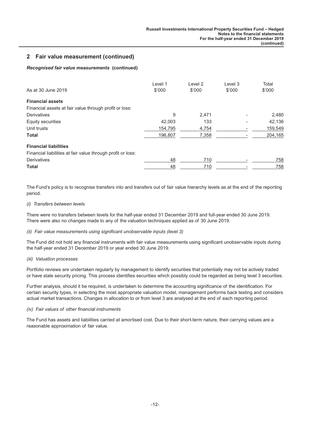## **2 Fair value measurement (continued)**

### *Recognised fair value measurements* **(continued)**

|                                                             | Level 1 | Level <sub>2</sub> | Level 3 | Total   |
|-------------------------------------------------------------|---------|--------------------|---------|---------|
| As at 30 June 2019                                          | \$'000  | \$'000             | \$'000  | \$'000  |
| <b>Financial assets</b>                                     |         |                    |         |         |
| Financial assets at fair value through profit or loss:      |         |                    |         |         |
| Derivatives                                                 | 9       | 2,471              |         | 2,480   |
| Equity securities                                           | 42,003  | 133                |         | 42,136  |
| Unit trusts                                                 | 154,795 | 4,754              |         | 159,549 |
| <b>Total</b>                                                | 196,807 | 7,358              |         | 204,165 |
| <b>Financial liabilities</b>                                |         |                    |         |         |
| Financial liabilities at fair value through profit or loss: |         |                    |         |         |
| <b>Derivatives</b>                                          | 48      | 710                |         | 758     |
| <b>Total</b>                                                | 48      | 710                |         | 758     |

The Fund's policy is to recognise transfers into and transfers out of fair value hierarchy levels as at the end of the reporting period.

#### *(i) Transfers between levels*

There were no transfers between levels for the half-year ended 31 December 2019 and full-year ended 30 June 2019. There were also no changes made to any of the valuation techniques applied as of 30 June 2019.

#### *(ii) Fair value measurements using significant unobservable inputs (level 3)*

The Fund did not hold any financial instruments with fair value measurements using significant unobservable inputs during the half-year ended 31 December 2019 or year ended 30 June 2019.

#### *(iii) Valuation processes*

Portfolio reviews are undertaken regularly by management to identify securities that potentially may not be actively traded or have stale security pricing. This process identifies securities which possibly could be regarded as being level 3 securities.

Further analysis, should it be required, is undertaken to determine the accounting significance of the identification. For certain security types, in selecting the most appropriate valuation model, management performs back testing and considers actual market transactions. Changes in allocation to or from level 3 are analysed at the end of each reporting period.

#### *(iv) Fair values of other financial instruments*

The Fund has assets and liabilities carried at amortised cost. Due to their short-term nature, their carrying values are a reasonable approximation of fair value.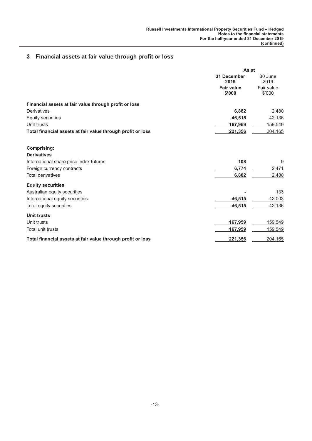# <span id="page-13-0"></span>**3 Financial assets at fair value through profit or loss**

|                                                             | As at                       |                      |
|-------------------------------------------------------------|-----------------------------|----------------------|
|                                                             | <b>31 December</b><br>2019  | 30 June<br>2019      |
|                                                             | <b>Fair value</b><br>\$'000 | Fair value<br>\$'000 |
| Financial assets at fair value through profit or loss       |                             |                      |
| Derivatives                                                 | 6,882                       | 2,480                |
| Equity securities                                           | 46,515                      | 42,136               |
| Unit trusts                                                 | 167,959                     | 159,549              |
| Total financial assets at fair value through profit or loss | 221,356                     | 204,165              |
| <b>Comprising:</b>                                          |                             |                      |
| <b>Derivatives</b>                                          |                             |                      |
| International share price index futures                     | 108                         | 9                    |
| Foreign currency contracts                                  | 6,774                       | 2,471                |
| <b>Total derivatives</b>                                    | 6,882                       | 2,480                |
| <b>Equity securities</b>                                    |                             |                      |
| Australian equity securities                                |                             | 133                  |
| International equity securities                             | 46,515                      | 42,003               |
| Total equity securities                                     | 46,515                      | 42,136               |
| <b>Unit trusts</b>                                          |                             |                      |
| Unit trusts                                                 | 167,959                     | 159,549              |
| Total unit trusts                                           | 167,959                     | 159,549              |
| Total financial assets at fair value through profit or loss | 221,356                     | 204,165              |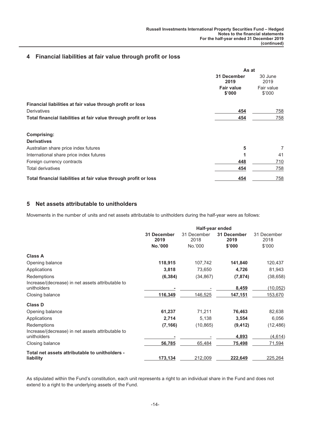### <span id="page-14-0"></span>**4 Financial liabilities at fair value through profit or loss**

|                                                                  | As at                       |                      |
|------------------------------------------------------------------|-----------------------------|----------------------|
|                                                                  | 31 December<br>2019         | 30 June<br>2019      |
|                                                                  | <b>Fair value</b><br>\$'000 | Fair value<br>\$'000 |
| Financial liabilities at fair value through profit or loss       |                             |                      |
| Derivatives                                                      | 454                         | 758                  |
| Total financial liabilities at fair value through profit or loss | 454                         | 758                  |
| Comprising:                                                      |                             |                      |
| <b>Derivatives</b>                                               |                             |                      |
| Australian share price index futures                             | 5                           | 7                    |
| International share price index futures                          |                             | 41                   |
| Foreign currency contracts                                       | 448                         | 710                  |
| <b>Total derivatives</b>                                         | 454                         | 758                  |
| Total financial liabilities at fair value through profit or loss | 454                         | 758                  |

## **5 Net assets attributable to unitholders**

Movements in the number of units and net assets attributable to unitholders during the half-year were as follows:

|                                                                  |                     | Half-year ended     |                     |                     |  |
|------------------------------------------------------------------|---------------------|---------------------|---------------------|---------------------|--|
|                                                                  | 31 December<br>2019 | 31 December<br>2018 | 31 December<br>2019 | 31 December<br>2018 |  |
|                                                                  | No.'000             | No.'000             | \$'000              | \$'000              |  |
| <b>Class A</b>                                                   |                     |                     |                     |                     |  |
| Opening balance                                                  | 118,915             | 107,742             | 141,840             | 120,437             |  |
| Applications                                                     | 3,818               | 73,650              | 4,726               | 81,943              |  |
| Redemptions                                                      | (6, 384)            | (34, 867)           | (7, 874)            | (38, 658)           |  |
| Increase/(decrease) in net assets attributable to<br>unitholders |                     |                     | 8,459               | (10, 052)           |  |
| Closing balance                                                  | 116,349             | 146,525             | 147,151             | 153,670             |  |
| <b>Class D</b>                                                   |                     |                     |                     |                     |  |
| Opening balance                                                  | 61,237              | 71,211              | 76,463              | 82,638              |  |
| Applications                                                     | 2,714               | 5,138               | 3,554               | 6,056               |  |
| Redemptions                                                      | (7, 166)            | (10, 865)           | (9, 412)            | (12, 486)           |  |
| Increase/(decrease) in net assets attributable to<br>unitholders |                     |                     | 4,893               | (4, 614)            |  |
| Closing balance                                                  | 56,785              | 65,484              | 75,498              | 71,594              |  |
|                                                                  |                     |                     |                     |                     |  |
| Total net assets attributable to unitholders -<br>liability      | 173,134             | 212,009             | 222,649             | 225,264             |  |

As stipulated within the Fund's constitution, each unit represents a right to an individual share in the Fund and does not extend to a right to the underlying assets of the Fund.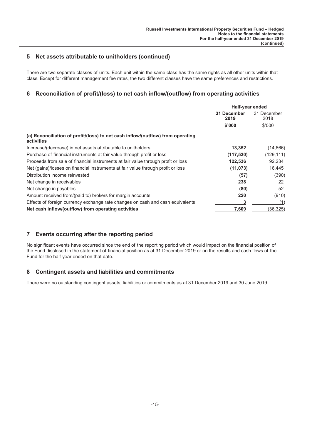## <span id="page-15-0"></span>**5 Net assets attributable to unitholders (continued)**

There are two separate classes of units. Each unit within the same class has the same rights as all other units within that class. Except for different management fee rates, the two different classes have the same preferences and restrictions.

## **6 Reconciliation of profit/(loss) to net cash inflow/(outflow) from operating activities**

|                                                                                               | Half-year ended     |                     |
|-----------------------------------------------------------------------------------------------|---------------------|---------------------|
|                                                                                               | 31 December<br>2019 | 31 December<br>2018 |
|                                                                                               | \$'000              | \$'000              |
| (a) Reconciliation of profit/(loss) to net cash inflow/(outflow) from operating<br>activities |                     |                     |
| Increase/(decrease) in net assets attributable to unitholders                                 | 13,352              | (14, 666)           |
| Purchase of financial instruments at fair value through profit or loss                        | (117, 530)          | (129, 111)          |
| Proceeds from sale of financial instruments at fair value through profit or loss              | 122,536             | 92,234              |
| Net (gains)/losses on financial instruments at fair value through profit or loss              | (11, 073)           | 16,445              |
| Distribution income reinvested                                                                | (57)                | (390)               |
| Net change in receivables                                                                     | 238                 | 22                  |
| Net change in payables                                                                        | (80)                | 52                  |
| Amount received from/(paid to) brokers for margin accounts                                    | 220                 | (910)               |
| Effects of foreign currency exchange rate changes on cash and cash equivalents                | 3                   | (1)                 |
| Net cash inflow/(outflow) from operating activities                                           | 7,609               | (36, 325)           |

# **7 Events occurring after the reporting period**

No significant events have occurred since the end of the reporting period which would impact on the financial position of the Fund disclosed in the statement of financial position as at 31 December 2019 or on the results and cash flows of the Fund for the half-year ended on that date.

### **8 Contingent assets and liabilities and commitments**

There were no outstanding contingent assets, liabilities or commitments as at 31 December 2019 and 30 June 2019.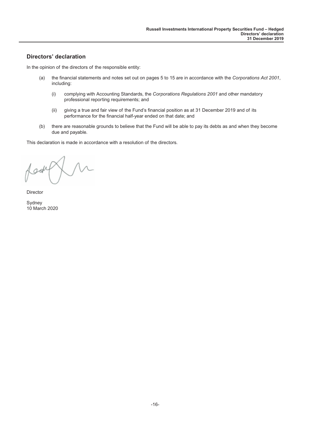## <span id="page-16-0"></span>**Directors' declaration**

In the opinion of the directors of the responsible entity:

- (a) the financial statements and notes set out on pages 5 to 15 are in accordance with the *Corporations Act 2001*, including:
	- (i) complying with Accounting Standards, the *Corporations Regulations 2001* and other mandatory professional reporting requirements; and
	- (ii) giving a true and fair view of the Fund's financial position as at 31 December 2019 and of its performance for the financial half-year ended on that date; and
- (b) there are reasonable grounds to believe that the Fund will be able to pay its debts as and when they become due and payable.

This declaration is made in accordance with a resolution of the directors.

 $\sqrt{\mathcal{M}}$ Look

Director

Sydney 10 March 2020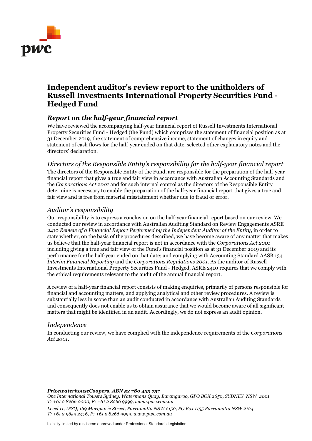

# **Independent auditor's review report to the unitholders of Russell Investments International Property Securities Fund - Hedged Fund**

# *Report on the half-year financial report*

We have reviewed the accompanying half-year financial report of Russell Investments International Property Securities Fund - Hedged (the Fund) which comprises the statement of financial position as at 31 December 2019, the statement of comprehensive income, statement of changes in equity and statement of cash flows for the half-year ended on that date, selected other explanatory notes and the directors' declaration.

*Directors of the Responsible Entity's responsibility for the half-year financial report* The directors of the Responsible Entity of the Fund, are responsible for the preparation of the half-year financial report that gives a true and fair view in accordance with Australian Accounting Standards and the *Corporations Act 2001* and for such internal control as the directors of the Responsible Entity determine is necessary to enable the preparation of the half-year financial report that gives a true and fair view and is free from material misstatement whether due to fraud or error.

# *Auditor's responsibility*

Our responsibility is to express a conclusion on the half-year financial report based on our review. We conducted our review in accordance with Australian Auditing Standard on Review Engagements ASRE 2410 *Review of a Financial Report Performed by the Independent Auditor of the Entity*, in order to state whether, on the basis of the procedures described, we have become aware of any matter that makes us believe that the half-year financial report is not in accordance with the *Corporations Act 2001* including giving a true and fair view of the Fund's financial position as at 31 December 2019 and its performance for the half-year ended on that date; and complying with Accounting Standard AASB 134 *Interim Financial Reporting* and the *Corporations Regulations 2001*. As the auditor of Russell Investments International Property Securities Fund - Hedged, ASRE 2410 requires that we comply with the ethical requirements relevant to the audit of the annual financial report.

A review of a half-year financial report consists of making enquiries, primarily of persons responsible for financial and accounting matters, and applying analytical and other review procedures. A review is substantially less in scope than an audit conducted in accordance with Australian Auditing Standards and consequently does not enable us to obtain assurance that we would become aware of all significant matters that might be identified in an audit. Accordingly, we do not express an audit opinion.

# *Independence*

In conducting our review, we have complied with the independence requirements of the *Corporations Act 2001*.

*PricewaterhouseCoopers, ABN 52 780 433 757 One International Towers Sydney, Watermans Quay, Barangaroo, GPO BOX 2650, SYDNEY NSW 2001 T: +61 2 8266 0000, F: +61 2 8266 9999, www.pwc.com.au*

*Level 11, 1PSQ, 169 Macquarie Street, Parramatta NSW 2150, PO Box 1155 Parramatta NSW 2124 T: +61 2 9659 2476, F: +61 2 8266 9999, www.pwc.com.au*

Liability limited by a scheme approved under Professional Standards Legislation.